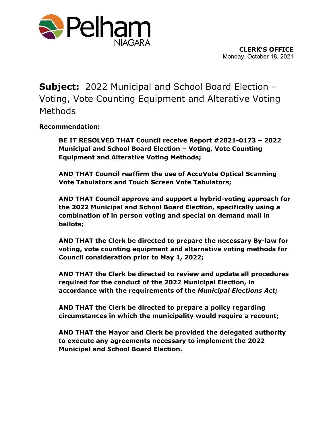

**Subject:** 2022 Municipal and School Board Election – Voting, Vote Counting Equipment and Alterative Voting Methods

**Recommendation:**

**BE IT RESOLVED THAT Council receive Report #2021-0173 – 2022 Municipal and School Board Election – Voting, Vote Counting Equipment and Alterative Voting Methods;** 

**AND THAT Council reaffirm the use of AccuVote Optical Scanning Vote Tabulators and Touch Screen Vote Tabulators;**

**AND THAT Council approve and support a hybrid-voting approach for the 2022 Municipal and School Board Election, specifically using a combination of in person voting and special on demand mail in ballots;**

**AND THAT the Clerk be directed to prepare the necessary By-law for voting, vote counting equipment and alternative voting methods for Council consideration prior to May 1, 2022;**

**AND THAT the Clerk be directed to review and update all procedures required for the conduct of the 2022 Municipal Election, in accordance with the requirements of the** *Municipal Elections Act***;**

**AND THAT the Clerk be directed to prepare a policy regarding circumstances in which the municipality would require a recount;**

**AND THAT the Mayor and Clerk be provided the delegated authority to execute any agreements necessary to implement the 2022 Municipal and School Board Election.**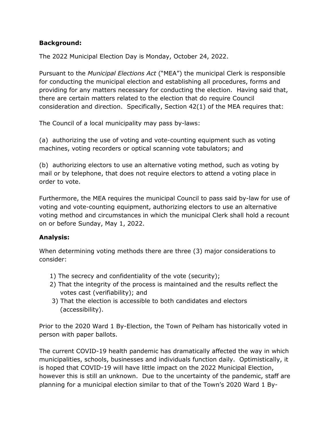### **Background:**

The 2022 Municipal Election Day is Monday, October 24, 2022.

Pursuant to the *Municipal Elections Act* ("MEA") the municipal Clerk is responsible for conducting the municipal election and establishing all procedures, forms and providing for any matters necessary for conducting the election. Having said that, there are certain matters related to the election that do require Council consideration and direction. Specifically, Section 42(1) of the MEA requires that:

The Council of a local municipality may pass by-laws:

(a) authorizing the use of voting and vote-counting equipment such as voting machines, voting recorders or optical scanning vote tabulators; and

(b) authorizing electors to use an alternative voting method, such as voting by mail or by telephone, that does not require electors to attend a voting place in order to vote.

Furthermore, the MEA requires the municipal Council to pass said by-law for use of voting and vote-counting equipment, authorizing electors to use an alternative voting method and circumstances in which the municipal Clerk shall hold a recount on or before Sunday, May 1, 2022.

# **Analysis:**

When determining voting methods there are three (3) major considerations to consider:

- 1) The secrecy and confidentiality of the vote (security);
- 2) That the integrity of the process is maintained and the results reflect the votes cast (verifiability); and
- 3) That the election is accessible to both candidates and electors (accessibility).

Prior to the 2020 Ward 1 By-Election, the Town of Pelham has historically voted in person with paper ballots.

The current COVID-19 health pandemic has dramatically affected the way in which municipalities, schools, businesses and individuals function daily. Optimistically, it is hoped that COVID-19 will have little impact on the 2022 Municipal Election, however this is still an unknown. Due to the uncertainty of the pandemic, staff are planning for a municipal election similar to that of the Town's 2020 Ward 1 By-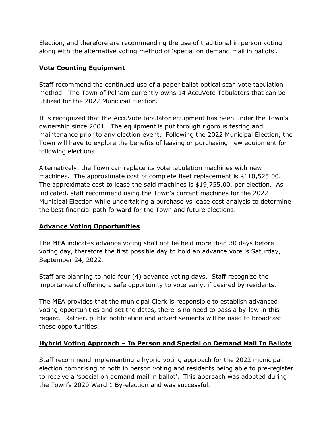Election, and therefore are recommending the use of traditional in person voting along with the alternative voting method of 'special on demand mail in ballots'.

# **Vote Counting Equipment**

Staff recommend the continued use of a paper ballot optical scan vote tabulation method. The Town of Pelham currently owns 14 AccuVote Tabulators that can be utilized for the 2022 Municipal Election.

It is recognized that the AccuVote tabulator equipment has been under the Town's ownership since 2001. The equipment is put through rigorous testing and maintenance prior to any election event. Following the 2022 Municipal Election, the Town will have to explore the benefits of leasing or purchasing new equipment for following elections.

Alternatively, the Town can replace its vote tabulation machines with new machines. The approximate cost of complete fleet replacement is \$110,525.00. The approximate cost to lease the said machines is \$19,755.00, per election. As indicated, staff recommend using the Town's current machines for the 2022 Municipal Election while undertaking a purchase vs lease cost analysis to determine the best financial path forward for the Town and future elections.

# **Advance Voting Opportunities**

The MEA indicates advance voting shall not be held more than 30 days before voting day, therefore the first possible day to hold an advance vote is Saturday, September 24, 2022.

Staff are planning to hold four (4) advance voting days. Staff recognize the importance of offering a safe opportunity to vote early, if desired by residents.

The MEA provides that the municipal Clerk is responsible to establish advanced voting opportunities and set the dates, there is no need to pass a by-law in this regard. Rather, public notification and advertisements will be used to broadcast these opportunities.

# **Hybrid Voting Approach – In Person and Special on Demand Mail In Ballots**

Staff recommend implementing a hybrid voting approach for the 2022 municipal election comprising of both in person voting and residents being able to pre-register to receive a 'special on demand mail in ballot'. This approach was adopted during the Town's 2020 Ward 1 By-election and was successful.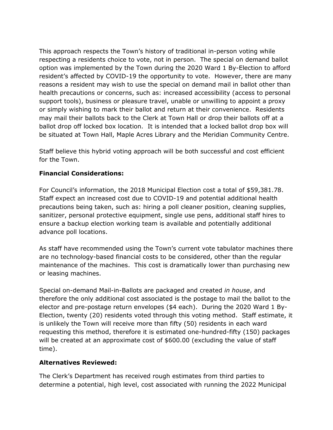This approach respects the Town's history of traditional in-person voting while respecting a residents choice to vote, not in person. The special on demand ballot option was implemented by the Town during the 2020 Ward 1 By-Election to afford resident's affected by COVID-19 the opportunity to vote. However, there are many reasons a resident may wish to use the special on demand mail in ballot other than health precautions or concerns, such as: increased accessibility (access to personal support tools), business or pleasure travel, unable or unwilling to appoint a proxy or simply wishing to mark their ballot and return at their convenience. Residents may mail their ballots back to the Clerk at Town Hall or drop their ballots off at a ballot drop off locked box location. It is intended that a locked ballot drop box will be situated at Town Hall, Maple Acres Library and the Meridian Community Centre.

Staff believe this hybrid voting approach will be both successful and cost efficient for the Town.

# **Financial Considerations:**

For Council's information, the 2018 Municipal Election cost a total of \$59,381.78. Staff expect an increased cost due to COVID-19 and potential additional health precautions being taken, such as: hiring a poll cleaner position, cleaning supplies, sanitizer, personal protective equipment, single use pens, additional staff hires to ensure a backup election working team is available and potentially additional advance poll locations.

As staff have recommended using the Town's current vote tabulator machines there are no technology-based financial costs to be considered, other than the regular maintenance of the machines. This cost is dramatically lower than purchasing new or leasing machines.

Special on-demand Mail-in-Ballots are packaged and created *in house*, and therefore the only additional cost associated is the postage to mail the ballot to the elector and pre-postage return envelopes (\$4 each). During the 2020 Ward 1 By-Election, twenty (20) residents voted through this voting method. Staff estimate, it is unlikely the Town will receive more than fifty (50) residents in each ward requesting this method, therefore it is estimated one-hundred-fifty (150) packages will be created at an approximate cost of \$600.00 (excluding the value of staff time).

#### **Alternatives Reviewed:**

The Clerk's Department has received rough estimates from third parties to determine a potential, high level, cost associated with running the 2022 Municipal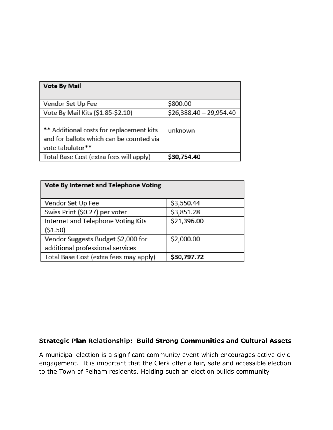| <b>Vote By Mail</b>                                                                                      |                          |
|----------------------------------------------------------------------------------------------------------|--------------------------|
| Vendor Set Up Fee                                                                                        | \$800.00                 |
| Vote By Mail Kits (\$1.85-\$2.10)                                                                        | $$26,388.40 - 29,954.40$ |
| ** Additional costs for replacement kits<br>and for ballots which can be counted via<br>vote tabulator** | unknown                  |
| Total Base Cost (extra fees will apply)                                                                  | \$30,754.40              |

| Vote By Internet and Telephone Voting  |             |
|----------------------------------------|-------------|
| Vendor Set Up Fee                      | \$3,550.44  |
| Swiss Print (\$0.27) per voter         | \$3,851.28  |
| Internet and Telephone Voting Kits     | \$21,396.00 |
| (51.50)                                |             |
| Vendor Suggests Budget \$2,000 for     | \$2,000.00  |
| additional professional services       |             |
| Total Base Cost (extra fees may apply) | \$30,797.72 |

# **Strategic Plan Relationship: Build Strong Communities and Cultural Assets**

A municipal election is a significant community event which encourages active civic engagement. It is important that the Clerk offer a fair, safe and accessible election to the Town of Pelham residents. Holding such an election builds community